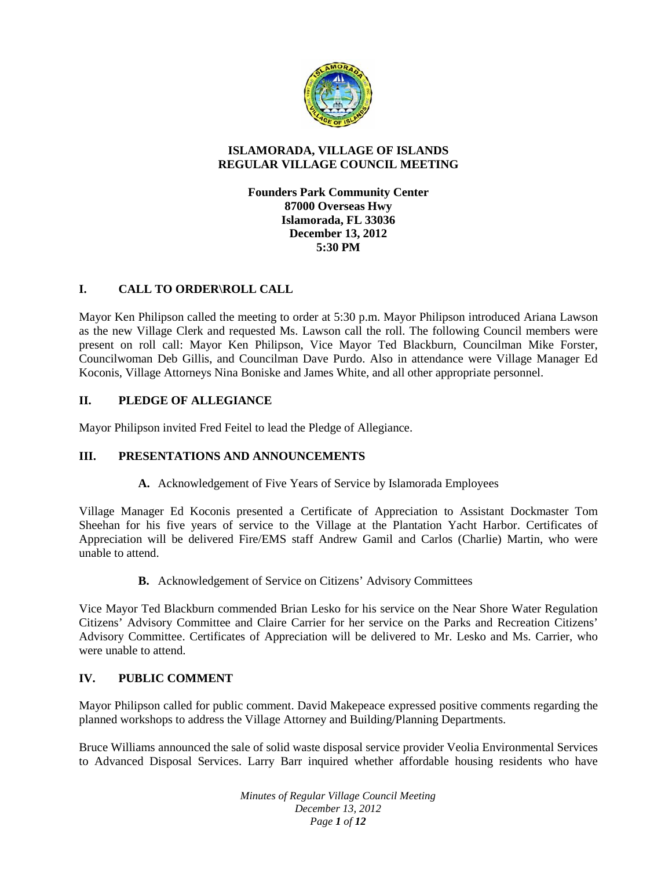

### **ISLAMORADA, VILLAGE OF ISLANDS REGULAR VILLAGE COUNCIL MEETING**

**Founders Park Community Center 87000 Overseas Hwy Islamorada, FL 33036 December 13, 2012 5:30 PM**

## **I. CALL TO ORDER\ROLL CALL**

Mayor Ken Philipson called the meeting to order at 5:30 p.m. Mayor Philipson introduced Ariana Lawson as the new Village Clerk and requested Ms. Lawson call the roll. The following Council members were present on roll call: Mayor Ken Philipson, Vice Mayor Ted Blackburn, Councilman Mike Forster, Councilwoman Deb Gillis, and Councilman Dave Purdo. Also in attendance were Village Manager Ed Koconis, Village Attorneys Nina Boniske and James White, and all other appropriate personnel.

## **II. PLEDGE OF ALLEGIANCE**

Mayor Philipson invited Fred Feitel to lead the Pledge of Allegiance.

# **III. PRESENTATIONS AND ANNOUNCEMENTS**

**A.** Acknowledgement of Five Years of Service by Islamorada Employees

Village Manager Ed Koconis presented a Certificate of Appreciation to Assistant Dockmaster Tom Sheehan for his five years of service to the Village at the Plantation Yacht Harbor. Certificates of Appreciation will be delivered Fire/EMS staff Andrew Gamil and Carlos (Charlie) Martin, who were unable to attend.

**B.** Acknowledgement of Service on Citizens' Advisory Committees

Vice Mayor Ted Blackburn commended Brian Lesko for his service on the Near Shore Water Regulation Citizens' Advisory Committee and Claire Carrier for her service on the Parks and Recreation Citizens' Advisory Committee. Certificates of Appreciation will be delivered to Mr. Lesko and Ms. Carrier, who were unable to attend.

## **IV. PUBLIC COMMENT**

Mayor Philipson called for public comment. David Makepeace expressed positive comments regarding the planned workshops to address the Village Attorney and Building/Planning Departments.

Bruce Williams announced the sale of solid waste disposal service provider Veolia Environmental Services to Advanced Disposal Services. Larry Barr inquired whether affordable housing residents who have

> *Minutes of Regular Village Council Meeting December 13, 2012 Page 1 of 12*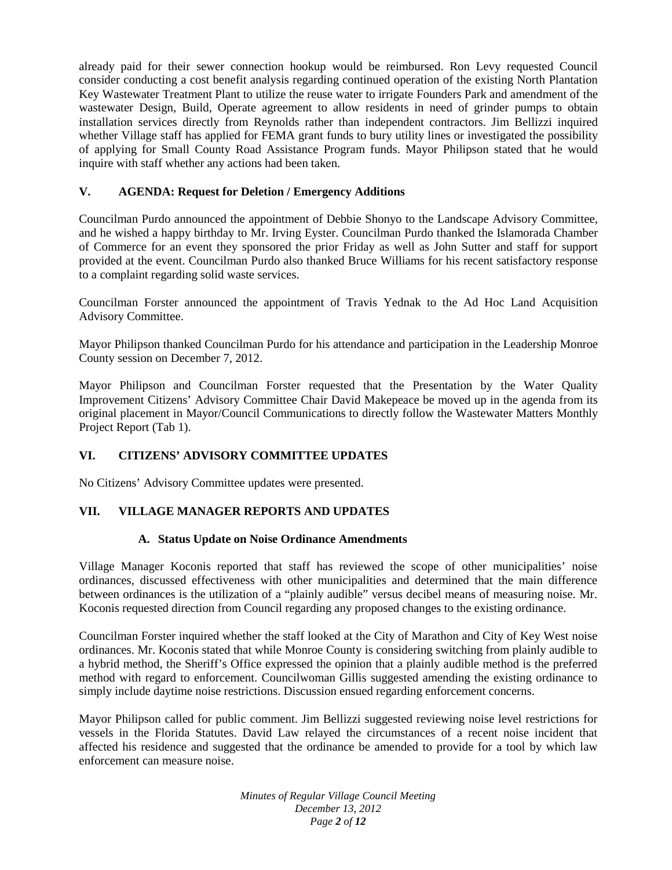already paid for their sewer connection hookup would be reimbursed. Ron Levy requested Council consider conducting a cost benefit analysis regarding continued operation of the existing North Plantation Key Wastewater Treatment Plant to utilize the reuse water to irrigate Founders Park and amendment of the wastewater Design, Build, Operate agreement to allow residents in need of grinder pumps to obtain installation services directly from Reynolds rather than independent contractors. Jim Bellizzi inquired whether Village staff has applied for FEMA grant funds to bury utility lines or investigated the possibility of applying for Small County Road Assistance Program funds. Mayor Philipson stated that he would inquire with staff whether any actions had been taken.

## **V. AGENDA: Request for Deletion / Emergency Additions**

Councilman Purdo announced the appointment of Debbie Shonyo to the Landscape Advisory Committee, and he wished a happy birthday to Mr. Irving Eyster. Councilman Purdo thanked the Islamorada Chamber of Commerce for an event they sponsored the prior Friday as well as John Sutter and staff for support provided at the event. Councilman Purdo also thanked Bruce Williams for his recent satisfactory response to a complaint regarding solid waste services.

Councilman Forster announced the appointment of Travis Yednak to the Ad Hoc Land Acquisition Advisory Committee.

Mayor Philipson thanked Councilman Purdo for his attendance and participation in the Leadership Monroe County session on December 7, 2012.

Mayor Philipson and Councilman Forster requested that the Presentation by the Water Quality Improvement Citizens' Advisory Committee Chair David Makepeace be moved up in the agenda from its original placement in Mayor/Council Communications to directly follow the Wastewater Matters Monthly Project Report (Tab 1).

## **VI. CITIZENS' ADVISORY COMMITTEE UPDATES**

No Citizens' Advisory Committee updates were presented.

#### **VII. VILLAGE MANAGER REPORTS AND UPDATES**

#### **A. Status Update on Noise Ordinance Amendments**

Village Manager Koconis reported that staff has reviewed the scope of other municipalities' noise ordinances, discussed effectiveness with other municipalities and determined that the main difference between ordinances is the utilization of a "plainly audible" versus decibel means of measuring noise. Mr. Koconis requested direction from Council regarding any proposed changes to the existing ordinance.

Councilman Forster inquired whether the staff looked at the City of Marathon and City of Key West noise ordinances. Mr. Koconis stated that while Monroe County is considering switching from plainly audible to a hybrid method, the Sheriff's Office expressed the opinion that a plainly audible method is the preferred method with regard to enforcement. Councilwoman Gillis suggested amending the existing ordinance to simply include daytime noise restrictions. Discussion ensued regarding enforcement concerns.

Mayor Philipson called for public comment. Jim Bellizzi suggested reviewing noise level restrictions for vessels in the Florida Statutes. David Law relayed the circumstances of a recent noise incident that affected his residence and suggested that the ordinance be amended to provide for a tool by which law enforcement can measure noise.

> *Minutes of Regular Village Council Meeting December 13, 2012 Page 2 of 12*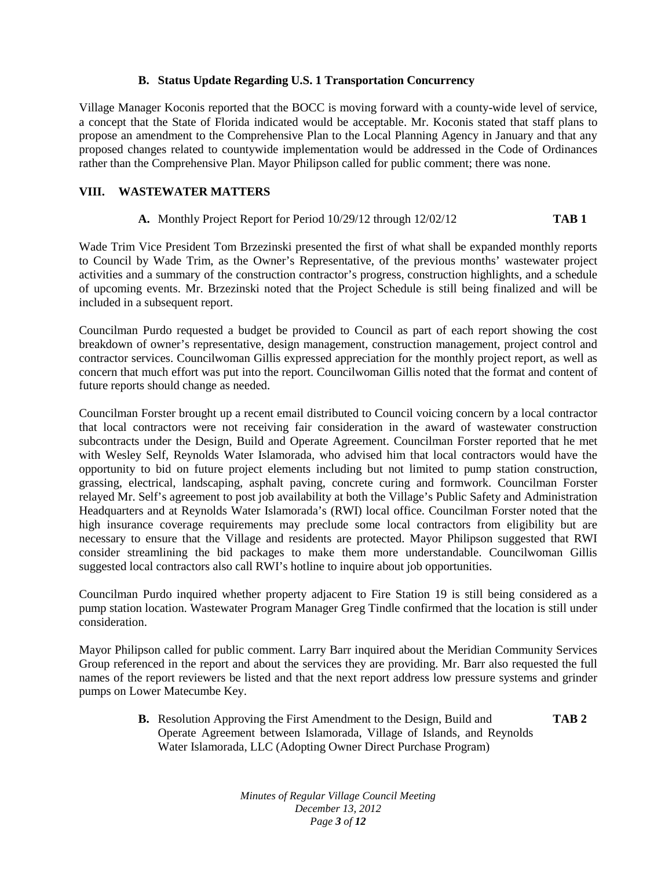### **B. Status Update Regarding U.S. 1 Transportation Concurrency**

Village Manager Koconis reported that the BOCC is moving forward with a county-wide level of service, a concept that the State of Florida indicated would be acceptable. Mr. Koconis stated that staff plans to propose an amendment to the Comprehensive Plan to the Local Planning Agency in January and that any proposed changes related to countywide implementation would be addressed in the Code of Ordinances rather than the Comprehensive Plan. Mayor Philipson called for public comment; there was none.

## **VIII. WASTEWATER MATTERS**

### **A.** Monthly Project Report for Period 10/29/12 through 12/02/12 **TAB 1**

Wade Trim Vice President Tom Brzezinski presented the first of what shall be expanded monthly reports to Council by Wade Trim, as the Owner's Representative, of the previous months' wastewater project activities and a summary of the construction contractor's progress, construction highlights, and a schedule of upcoming events. Mr. Brzezinski noted that the Project Schedule is still being finalized and will be included in a subsequent report.

Councilman Purdo requested a budget be provided to Council as part of each report showing the cost breakdown of owner's representative, design management, construction management, project control and contractor services. Councilwoman Gillis expressed appreciation for the monthly project report, as well as concern that much effort was put into the report. Councilwoman Gillis noted that the format and content of future reports should change as needed.

Councilman Forster brought up a recent email distributed to Council voicing concern by a local contractor that local contractors were not receiving fair consideration in the award of wastewater construction subcontracts under the Design, Build and Operate Agreement. Councilman Forster reported that he met with Wesley Self, Reynolds Water Islamorada, who advised him that local contractors would have the opportunity to bid on future project elements including but not limited to pump station construction, grassing, electrical, landscaping, asphalt paving, concrete curing and formwork. Councilman Forster relayed Mr. Self's agreement to post job availability at both the Village's Public Safety and Administration Headquarters and at Reynolds Water Islamorada's (RWI) local office. Councilman Forster noted that the high insurance coverage requirements may preclude some local contractors from eligibility but are necessary to ensure that the Village and residents are protected. Mayor Philipson suggested that RWI consider streamlining the bid packages to make them more understandable. Councilwoman Gillis suggested local contractors also call RWI's hotline to inquire about job opportunities.

Councilman Purdo inquired whether property adjacent to Fire Station 19 is still being considered as a pump station location. Wastewater Program Manager Greg Tindle confirmed that the location is still under consideration.

Mayor Philipson called for public comment. Larry Barr inquired about the Meridian Community Services Group referenced in the report and about the services they are providing. Mr. Barr also requested the full names of the report reviewers be listed and that the next report address low pressure systems and grinder pumps on Lower Matecumbe Key.

> **B.** Resolution Approving the First Amendment to the Design, Build and **TAB 2** Operate Agreement between Islamorada, Village of Islands, and Reynolds Water Islamorada, LLC (Adopting Owner Direct Purchase Program)

> > *Minutes of Regular Village Council Meeting December 13, 2012 Page 3 of 12*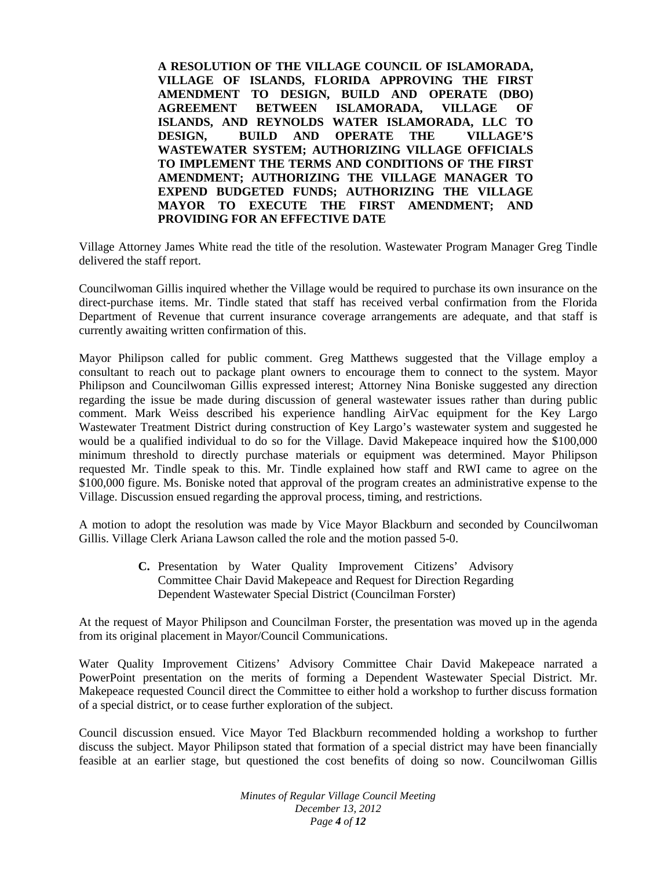**A RESOLUTION OF THE VILLAGE COUNCIL OF ISLAMORADA, VILLAGE OF ISLANDS, FLORIDA APPROVING THE FIRST AMENDMENT TO DESIGN, BUILD AND OPERATE (DBO) AGREEMENT BETWEEN ISLAMORADA, VILLAGE OF ISLANDS, AND REYNOLDS WATER ISLAMORADA, LLC TO DESIGN, BUILD AND OPERATE THE VILLAGE'S WASTEWATER SYSTEM; AUTHORIZING VILLAGE OFFICIALS TO IMPLEMENT THE TERMS AND CONDITIONS OF THE FIRST AMENDMENT; AUTHORIZING THE VILLAGE MANAGER TO EXPEND BUDGETED FUNDS; AUTHORIZING THE VILLAGE MAYOR TO EXECUTE THE FIRST AMENDMENT; AND PROVIDING FOR AN EFFECTIVE DATE**

Village Attorney James White read the title of the resolution. Wastewater Program Manager Greg Tindle delivered the staff report.

Councilwoman Gillis inquired whether the Village would be required to purchase its own insurance on the direct-purchase items. Mr. Tindle stated that staff has received verbal confirmation from the Florida Department of Revenue that current insurance coverage arrangements are adequate, and that staff is currently awaiting written confirmation of this.

Mayor Philipson called for public comment. Greg Matthews suggested that the Village employ a consultant to reach out to package plant owners to encourage them to connect to the system. Mayor Philipson and Councilwoman Gillis expressed interest; Attorney Nina Boniske suggested any direction regarding the issue be made during discussion of general wastewater issues rather than during public comment. Mark Weiss described his experience handling AirVac equipment for the Key Largo Wastewater Treatment District during construction of Key Largo's wastewater system and suggested he would be a qualified individual to do so for the Village. David Makepeace inquired how the \$100,000 minimum threshold to directly purchase materials or equipment was determined. Mayor Philipson requested Mr. Tindle speak to this. Mr. Tindle explained how staff and RWI came to agree on the \$100,000 figure. Ms. Boniske noted that approval of the program creates an administrative expense to the Village. Discussion ensued regarding the approval process, timing, and restrictions.

A motion to adopt the resolution was made by Vice Mayor Blackburn and seconded by Councilwoman Gillis. Village Clerk Ariana Lawson called the role and the motion passed 5-0.

> **C.** Presentation by Water Quality Improvement Citizens' Advisory Committee Chair David Makepeace and Request for Direction Regarding Dependent Wastewater Special District (Councilman Forster)

At the request of Mayor Philipson and Councilman Forster, the presentation was moved up in the agenda from its original placement in Mayor/Council Communications.

Water Quality Improvement Citizens' Advisory Committee Chair David Makepeace narrated a PowerPoint presentation on the merits of forming a Dependent Wastewater Special District. Mr. Makepeace requested Council direct the Committee to either hold a workshop to further discuss formation of a special district, or to cease further exploration of the subject.

Council discussion ensued. Vice Mayor Ted Blackburn recommended holding a workshop to further discuss the subject. Mayor Philipson stated that formation of a special district may have been financially feasible at an earlier stage, but questioned the cost benefits of doing so now. Councilwoman Gillis

> *Minutes of Regular Village Council Meeting December 13, 2012 Page 4 of 12*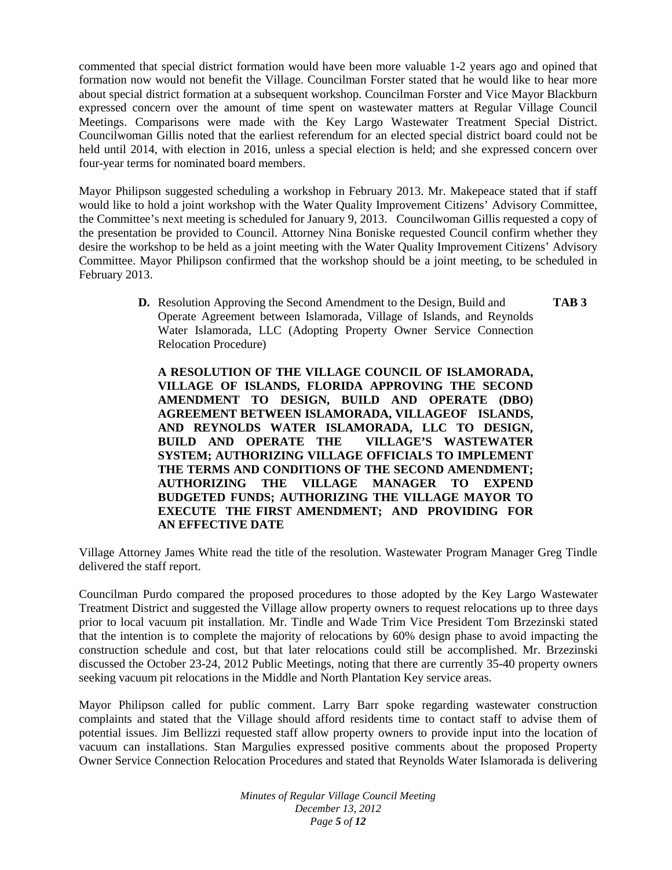commented that special district formation would have been more valuable 1-2 years ago and opined that formation now would not benefit the Village. Councilman Forster stated that he would like to hear more about special district formation at a subsequent workshop. Councilman Forster and Vice Mayor Blackburn expressed concern over the amount of time spent on wastewater matters at Regular Village Council Meetings. Comparisons were made with the Key Largo Wastewater Treatment Special District. Councilwoman Gillis noted that the earliest referendum for an elected special district board could not be held until 2014, with election in 2016, unless a special election is held; and she expressed concern over four-year terms for nominated board members.

Mayor Philipson suggested scheduling a workshop in February 2013. Mr. Makepeace stated that if staff would like to hold a joint workshop with the Water Quality Improvement Citizens' Advisory Committee, the Committee's next meeting is scheduled for January 9, 2013. Councilwoman Gillis requested a copy of the presentation be provided to Council. Attorney Nina Boniske requested Council confirm whether they desire the workshop to be held as a joint meeting with the Water Quality Improvement Citizens' Advisory Committee. Mayor Philipson confirmed that the workshop should be a joint meeting, to be scheduled in February 2013.

> **D.** Resolution Approving the Second Amendment to the Design, Build and **TAB 3** Operate Agreement between Islamorada, Village of Islands, and Reynolds Water Islamorada, LLC (Adopting Property Owner Service Connection Relocation Procedure)

**A RESOLUTION OF THE VILLAGE COUNCIL OF ISLAMORADA, VILLAGE OF ISLANDS, FLORIDA APPROVING THE SECOND AMENDMENT TO DESIGN, BUILD AND OPERATE (DBO) AGREEMENT BETWEEN ISLAMORADA, VILLAGEOF ISLANDS, AND REYNOLDS WATER ISLAMORADA, LLC TO DESIGN, BUILD AND OPERATE THE VILLAGE'S WASTEWATER SYSTEM; AUTHORIZING VILLAGE OFFICIALS TO IMPLEMENT THE TERMS AND CONDITIONS OF THE SECOND AMENDMENT; AUTHORIZING THE VILLAGE MANAGER TO EXPEND BUDGETED FUNDS; AUTHORIZING THE VILLAGE MAYOR TO EXECUTE THE FIRST AMENDMENT; AND PROVIDING FOR AN EFFECTIVE DATE**

Village Attorney James White read the title of the resolution. Wastewater Program Manager Greg Tindle delivered the staff report.

Councilman Purdo compared the proposed procedures to those adopted by the Key Largo Wastewater Treatment District and suggested the Village allow property owners to request relocations up to three days prior to local vacuum pit installation. Mr. Tindle and Wade Trim Vice President Tom Brzezinski stated that the intention is to complete the majority of relocations by 60% design phase to avoid impacting the construction schedule and cost, but that later relocations could still be accomplished. Mr. Brzezinski discussed the October 23-24, 2012 Public Meetings, noting that there are currently 35-40 property owners seeking vacuum pit relocations in the Middle and North Plantation Key service areas.

Mayor Philipson called for public comment. Larry Barr spoke regarding wastewater construction complaints and stated that the Village should afford residents time to contact staff to advise them of potential issues. Jim Bellizzi requested staff allow property owners to provide input into the location of vacuum can installations. Stan Margulies expressed positive comments about the proposed Property Owner Service Connection Relocation Procedures and stated that Reynolds Water Islamorada is delivering

> *Minutes of Regular Village Council Meeting December 13, 2012 Page 5 of 12*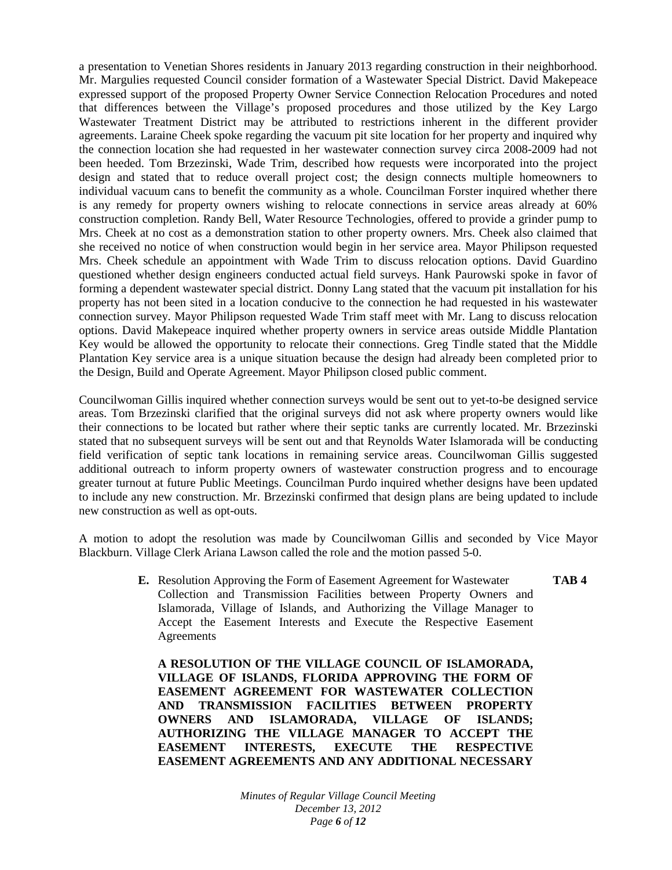a presentation to Venetian Shores residents in January 2013 regarding construction in their neighborhood. Mr. Margulies requested Council consider formation of a Wastewater Special District. David Makepeace expressed support of the proposed Property Owner Service Connection Relocation Procedures and noted that differences between the Village's proposed procedures and those utilized by the Key Largo Wastewater Treatment District may be attributed to restrictions inherent in the different provider agreements. Laraine Cheek spoke regarding the vacuum pit site location for her property and inquired why the connection location she had requested in her wastewater connection survey circa 2008-2009 had not been heeded. Tom Brzezinski, Wade Trim, described how requests were incorporated into the project design and stated that to reduce overall project cost; the design connects multiple homeowners to individual vacuum cans to benefit the community as a whole. Councilman Forster inquired whether there is any remedy for property owners wishing to relocate connections in service areas already at 60% construction completion. Randy Bell, Water Resource Technologies, offered to provide a grinder pump to Mrs. Cheek at no cost as a demonstration station to other property owners. Mrs. Cheek also claimed that she received no notice of when construction would begin in her service area. Mayor Philipson requested Mrs. Cheek schedule an appointment with Wade Trim to discuss relocation options. David Guardino questioned whether design engineers conducted actual field surveys. Hank Paurowski spoke in favor of forming a dependent wastewater special district. Donny Lang stated that the vacuum pit installation for his property has not been sited in a location conducive to the connection he had requested in his wastewater connection survey. Mayor Philipson requested Wade Trim staff meet with Mr. Lang to discuss relocation options. David Makepeace inquired whether property owners in service areas outside Middle Plantation Key would be allowed the opportunity to relocate their connections. Greg Tindle stated that the Middle Plantation Key service area is a unique situation because the design had already been completed prior to the Design, Build and Operate Agreement. Mayor Philipson closed public comment.

Councilwoman Gillis inquired whether connection surveys would be sent out to yet-to-be designed service areas. Tom Brzezinski clarified that the original surveys did not ask where property owners would like their connections to be located but rather where their septic tanks are currently located. Mr. Brzezinski stated that no subsequent surveys will be sent out and that Reynolds Water Islamorada will be conducting field verification of septic tank locations in remaining service areas. Councilwoman Gillis suggested additional outreach to inform property owners of wastewater construction progress and to encourage greater turnout at future Public Meetings. Councilman Purdo inquired whether designs have been updated to include any new construction. Mr. Brzezinski confirmed that design plans are being updated to include new construction as well as opt-outs.

A motion to adopt the resolution was made by Councilwoman Gillis and seconded by Vice Mayor Blackburn. Village Clerk Ariana Lawson called the role and the motion passed 5-0.

> **E.** Resolution Approving the Form of Easement Agreement for Wastewater **TAB 4** Collection and Transmission Facilities between Property Owners and Islamorada, Village of Islands, and Authorizing the Village Manager to Accept the Easement Interests and Execute the Respective Easement Agreements

**A RESOLUTION OF THE VILLAGE COUNCIL OF ISLAMORADA, VILLAGE OF ISLANDS, FLORIDA APPROVING THE FORM OF EASEMENT AGREEMENT FOR WASTEWATER COLLECTION AND TRANSMISSION FACILITIES BETWEEN PROPERTY OWNERS AND ISLAMORADA, VILLAGE OF ISLANDS; AUTHORIZING THE VILLAGE MANAGER TO ACCEPT THE EASEMENT INTERESTS, EXECUTE THE RESPECTIVE EASEMENT AGREEMENTS AND ANY ADDITIONAL NECESSARY** 

> *Minutes of Regular Village Council Meeting December 13, 2012 Page 6 of 12*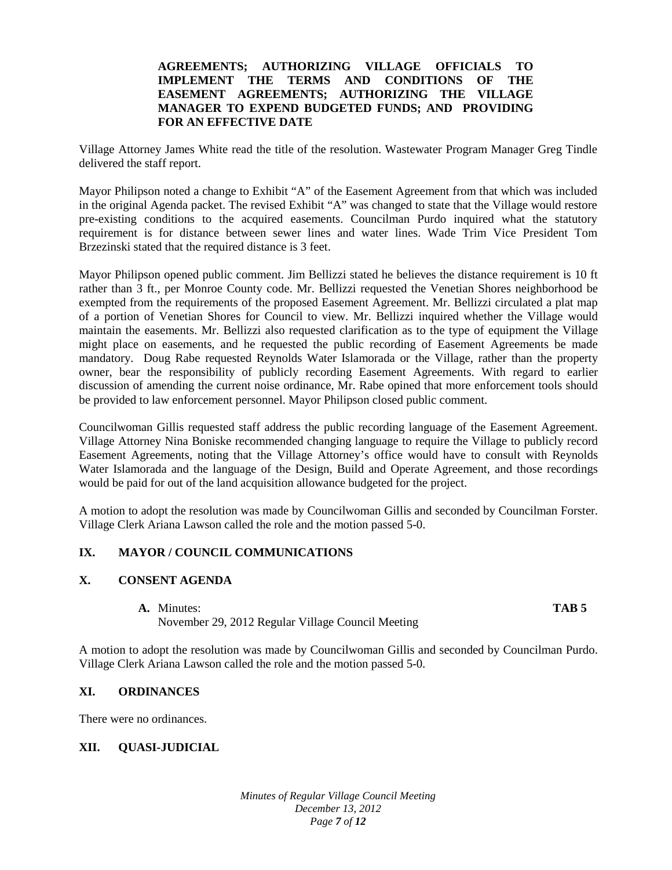#### **AGREEMENTS; AUTHORIZING VILLAGE OFFICIALS TO IMPLEMENT THE TERMS AND CONDITIONS OF THE EASEMENT AGREEMENTS; AUTHORIZING THE VILLAGE MANAGER TO EXPEND BUDGETED FUNDS; AND PROVIDING FOR AN EFFECTIVE DATE**

Village Attorney James White read the title of the resolution. Wastewater Program Manager Greg Tindle delivered the staff report.

Mayor Philipson noted a change to Exhibit "A" of the Easement Agreement from that which was included in the original Agenda packet. The revised Exhibit "A" was changed to state that the Village would restore pre-existing conditions to the acquired easements. Councilman Purdo inquired what the statutory requirement is for distance between sewer lines and water lines. Wade Trim Vice President Tom Brzezinski stated that the required distance is 3 feet.

Mayor Philipson opened public comment. Jim Bellizzi stated he believes the distance requirement is 10 ft rather than 3 ft., per Monroe County code. Mr. Bellizzi requested the Venetian Shores neighborhood be exempted from the requirements of the proposed Easement Agreement. Mr. Bellizzi circulated a plat map of a portion of Venetian Shores for Council to view. Mr. Bellizzi inquired whether the Village would maintain the easements. Mr. Bellizzi also requested clarification as to the type of equipment the Village might place on easements, and he requested the public recording of Easement Agreements be made mandatory. Doug Rabe requested Reynolds Water Islamorada or the Village, rather than the property owner, bear the responsibility of publicly recording Easement Agreements. With regard to earlier discussion of amending the current noise ordinance, Mr. Rabe opined that more enforcement tools should be provided to law enforcement personnel. Mayor Philipson closed public comment.

Councilwoman Gillis requested staff address the public recording language of the Easement Agreement. Village Attorney Nina Boniske recommended changing language to require the Village to publicly record Easement Agreements, noting that the Village Attorney's office would have to consult with Reynolds Water Islamorada and the language of the Design, Build and Operate Agreement, and those recordings would be paid for out of the land acquisition allowance budgeted for the project.

A motion to adopt the resolution was made by Councilwoman Gillis and seconded by Councilman Forster. Village Clerk Ariana Lawson called the role and the motion passed 5-0.

#### **IX. MAYOR / COUNCIL COMMUNICATIONS**

### **X. CONSENT AGENDA**

**A.** Minutes: **TAB 5**

November 29, 2012 Regular Village Council Meeting

A motion to adopt the resolution was made by Councilwoman Gillis and seconded by Councilman Purdo. Village Clerk Ariana Lawson called the role and the motion passed 5-0.

## **XI. ORDINANCES**

There were no ordinances.

#### **XII. QUASI-JUDICIAL**

*Minutes of Regular Village Council Meeting December 13, 2012 Page 7 of 12*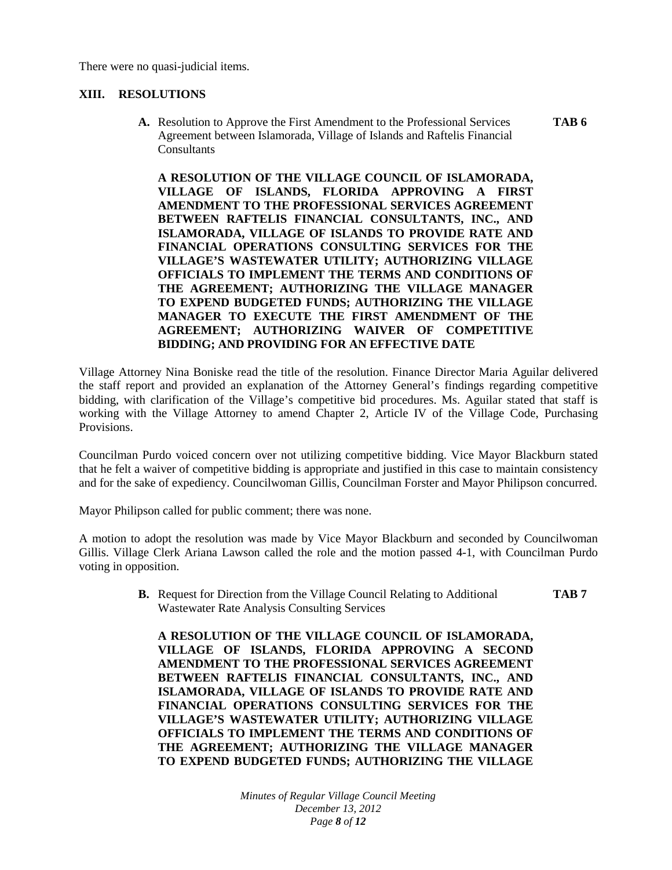There were no quasi-judicial items.

### **XIII. RESOLUTIONS**

**A.** Resolution to Approve the First Amendment to the Professional Services **TAB 6** Agreement between Islamorada, Village of Islands and Raftelis Financial Consultants

**A RESOLUTION OF THE VILLAGE COUNCIL OF ISLAMORADA, VILLAGE OF ISLANDS, FLORIDA APPROVING A FIRST AMENDMENT TO THE PROFESSIONAL SERVICES AGREEMENT BETWEEN RAFTELIS FINANCIAL CONSULTANTS, INC., AND ISLAMORADA, VILLAGE OF ISLANDS TO PROVIDE RATE AND FINANCIAL OPERATIONS CONSULTING SERVICES FOR THE VILLAGE'S WASTEWATER UTILITY; AUTHORIZING VILLAGE OFFICIALS TO IMPLEMENT THE TERMS AND CONDITIONS OF THE AGREEMENT; AUTHORIZING THE VILLAGE MANAGER TO EXPEND BUDGETED FUNDS; AUTHORIZING THE VILLAGE MANAGER TO EXECUTE THE FIRST AMENDMENT OF THE AGREEMENT; AUTHORIZING WAIVER OF COMPETITIVE BIDDING; AND PROVIDING FOR AN EFFECTIVE DATE**

Village Attorney Nina Boniske read the title of the resolution. Finance Director Maria Aguilar delivered the staff report and provided an explanation of the Attorney General's findings regarding competitive bidding, with clarification of the Village's competitive bid procedures. Ms. Aguilar stated that staff is working with the Village Attorney to amend Chapter 2, Article IV of the Village Code, Purchasing Provisions.

Councilman Purdo voiced concern over not utilizing competitive bidding. Vice Mayor Blackburn stated that he felt a waiver of competitive bidding is appropriate and justified in this case to maintain consistency and for the sake of expediency. Councilwoman Gillis, Councilman Forster and Mayor Philipson concurred.

Mayor Philipson called for public comment; there was none.

A motion to adopt the resolution was made by Vice Mayor Blackburn and seconded by Councilwoman Gillis. Village Clerk Ariana Lawson called the role and the motion passed 4-1, with Councilman Purdo voting in opposition.

> **B.** Request for Direction from the Village Council Relating to Additional **TAB 7** Wastewater Rate Analysis Consulting Services

**A RESOLUTION OF THE VILLAGE COUNCIL OF ISLAMORADA, VILLAGE OF ISLANDS, FLORIDA APPROVING A SECOND AMENDMENT TO THE PROFESSIONAL SERVICES AGREEMENT BETWEEN RAFTELIS FINANCIAL CONSULTANTS, INC., AND ISLAMORADA, VILLAGE OF ISLANDS TO PROVIDE RATE AND FINANCIAL OPERATIONS CONSULTING SERVICES FOR THE VILLAGE'S WASTEWATER UTILITY; AUTHORIZING VILLAGE OFFICIALS TO IMPLEMENT THE TERMS AND CONDITIONS OF THE AGREEMENT; AUTHORIZING THE VILLAGE MANAGER TO EXPEND BUDGETED FUNDS; AUTHORIZING THE VILLAGE** 

> *Minutes of Regular Village Council Meeting December 13, 2012 Page 8 of 12*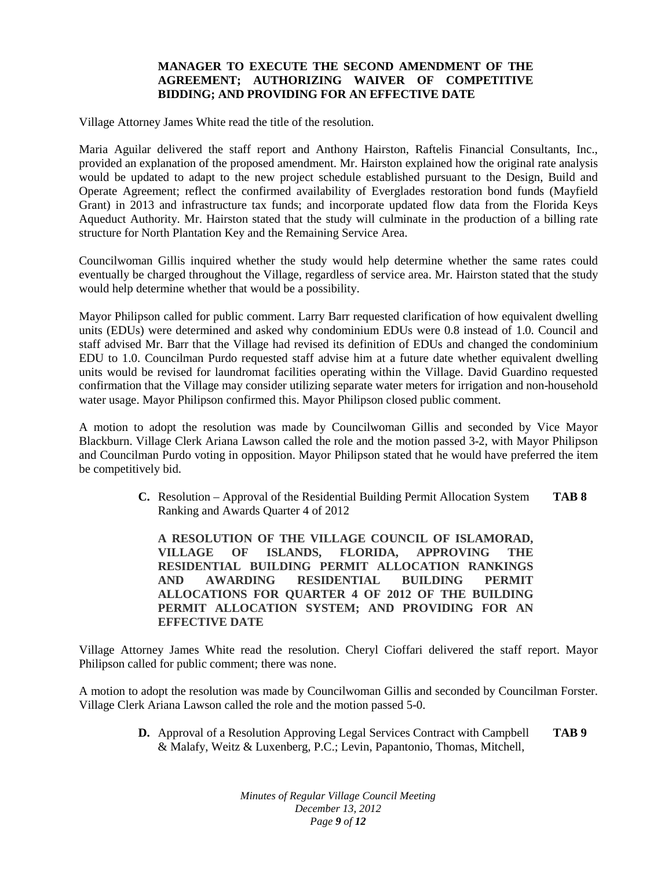### **MANAGER TO EXECUTE THE SECOND AMENDMENT OF THE AGREEMENT; AUTHORIZING WAIVER OF COMPETITIVE BIDDING; AND PROVIDING FOR AN EFFECTIVE DATE**

Village Attorney James White read the title of the resolution.

Maria Aguilar delivered the staff report and Anthony Hairston, Raftelis Financial Consultants, Inc., provided an explanation of the proposed amendment. Mr. Hairston explained how the original rate analysis would be updated to adapt to the new project schedule established pursuant to the Design, Build and Operate Agreement; reflect the confirmed availability of Everglades restoration bond funds (Mayfield Grant) in 2013 and infrastructure tax funds; and incorporate updated flow data from the Florida Keys Aqueduct Authority. Mr. Hairston stated that the study will culminate in the production of a billing rate structure for North Plantation Key and the Remaining Service Area.

Councilwoman Gillis inquired whether the study would help determine whether the same rates could eventually be charged throughout the Village, regardless of service area. Mr. Hairston stated that the study would help determine whether that would be a possibility.

Mayor Philipson called for public comment. Larry Barr requested clarification of how equivalent dwelling units (EDUs) were determined and asked why condominium EDUs were 0.8 instead of 1.0. Council and staff advised Mr. Barr that the Village had revised its definition of EDUs and changed the condominium EDU to 1.0. Councilman Purdo requested staff advise him at a future date whether equivalent dwelling units would be revised for laundromat facilities operating within the Village. David Guardino requested confirmation that the Village may consider utilizing separate water meters for irrigation and non-household water usage. Mayor Philipson confirmed this. Mayor Philipson closed public comment.

A motion to adopt the resolution was made by Councilwoman Gillis and seconded by Vice Mayor Blackburn. Village Clerk Ariana Lawson called the role and the motion passed 3-2, with Mayor Philipson and Councilman Purdo voting in opposition. Mayor Philipson stated that he would have preferred the item be competitively bid.

> **C.** Resolution – Approval of the Residential Building Permit Allocation System **TAB 8** Ranking and Awards Quarter 4 of 2012

**A RESOLUTION OF THE VILLAGE COUNCIL OF ISLAMORAD, VILLAGE OF ISLANDS, FLORIDA, APPROVING THE RESIDENTIAL BUILDING PERMIT ALLOCATION RANKINGS AND AWARDING RESIDENTIAL BUILDING PERMIT ALLOCATIONS FOR QUARTER 4 OF 2012 OF THE BUILDING PERMIT ALLOCATION SYSTEM; AND PROVIDING FOR AN EFFECTIVE DATE**

Village Attorney James White read the resolution. Cheryl Cioffari delivered the staff report. Mayor Philipson called for public comment; there was none.

A motion to adopt the resolution was made by Councilwoman Gillis and seconded by Councilman Forster. Village Clerk Ariana Lawson called the role and the motion passed 5-0.

> **D.** Approval of a Resolution Approving Legal Services Contract with Campbell **TAB 9** & Malafy, Weitz & Luxenberg, P.C.; Levin, Papantonio, Thomas, Mitchell,

> > *Minutes of Regular Village Council Meeting December 13, 2012 Page 9 of 12*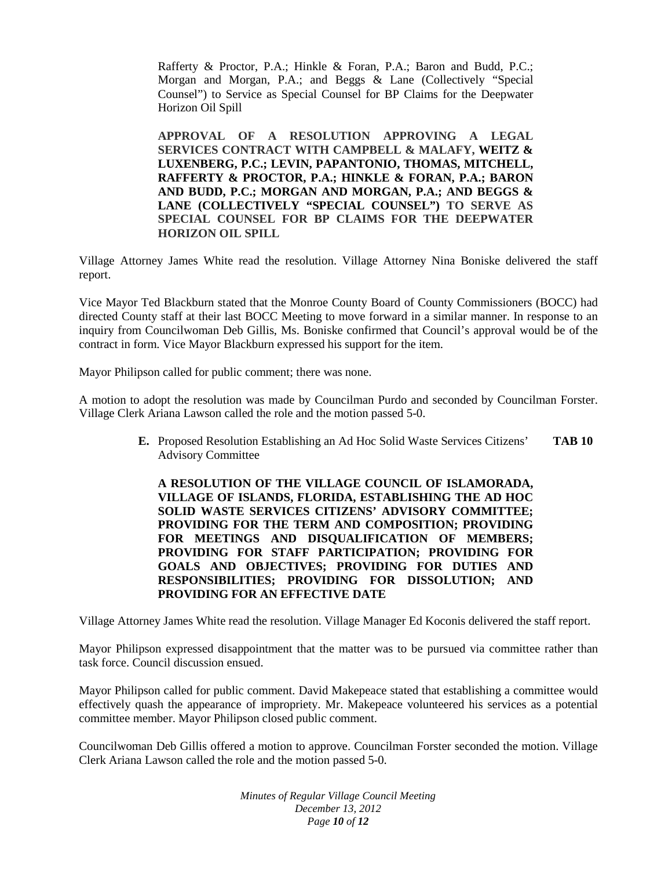Rafferty & Proctor, P.A.; Hinkle & Foran, P.A.; Baron and Budd, P.C.; Morgan and Morgan, P.A.; and Beggs & Lane (Collectively "Special Counsel") to Service as Special Counsel for BP Claims for the Deepwater Horizon Oil Spill

**APPROVAL OF A RESOLUTION APPROVING A LEGAL SERVICES CONTRACT WITH CAMPBELL & MALAFY, WEITZ & LUXENBERG, P.C.; LEVIN, PAPANTONIO, THOMAS, MITCHELL, RAFFERTY & PROCTOR, P.A.; HINKLE & FORAN, P.A.; BARON AND BUDD, P.C.; MORGAN AND MORGAN, P.A.; AND BEGGS & LANE (COLLECTIVELY "SPECIAL COUNSEL") TO SERVE AS SPECIAL COUNSEL FOR BP CLAIMS FOR THE DEEPWATER HORIZON OIL SPILL**

Village Attorney James White read the resolution. Village Attorney Nina Boniske delivered the staff report.

Vice Mayor Ted Blackburn stated that the Monroe County Board of County Commissioners (BOCC) had directed County staff at their last BOCC Meeting to move forward in a similar manner. In response to an inquiry from Councilwoman Deb Gillis, Ms. Boniske confirmed that Council's approval would be of the contract in form. Vice Mayor Blackburn expressed his support for the item.

Mayor Philipson called for public comment; there was none.

A motion to adopt the resolution was made by Councilman Purdo and seconded by Councilman Forster. Village Clerk Ariana Lawson called the role and the motion passed 5-0.

> **E.** Proposed Resolution Establishing an Ad Hoc Solid Waste Services Citizens' **TAB 10** Advisory Committee

**A RESOLUTION OF THE VILLAGE COUNCIL OF ISLAMORADA, VILLAGE OF ISLANDS, FLORIDA, ESTABLISHING THE AD HOC SOLID WASTE SERVICES CITIZENS' ADVISORY COMMITTEE; PROVIDING FOR THE TERM AND COMPOSITION; PROVIDING FOR MEETINGS AND DISQUALIFICATION OF MEMBERS; PROVIDING FOR STAFF PARTICIPATION; PROVIDING FOR GOALS AND OBJECTIVES; PROVIDING FOR DUTIES AND RESPONSIBILITIES; PROVIDING FOR DISSOLUTION; AND PROVIDING FOR AN EFFECTIVE DATE**

Village Attorney James White read the resolution. Village Manager Ed Koconis delivered the staff report.

Mayor Philipson expressed disappointment that the matter was to be pursued via committee rather than task force. Council discussion ensued.

Mayor Philipson called for public comment. David Makepeace stated that establishing a committee would effectively quash the appearance of impropriety. Mr. Makepeace volunteered his services as a potential committee member. Mayor Philipson closed public comment.

Councilwoman Deb Gillis offered a motion to approve. Councilman Forster seconded the motion. Village Clerk Ariana Lawson called the role and the motion passed 5-0.

> *Minutes of Regular Village Council Meeting December 13, 2012 Page 10 of 12*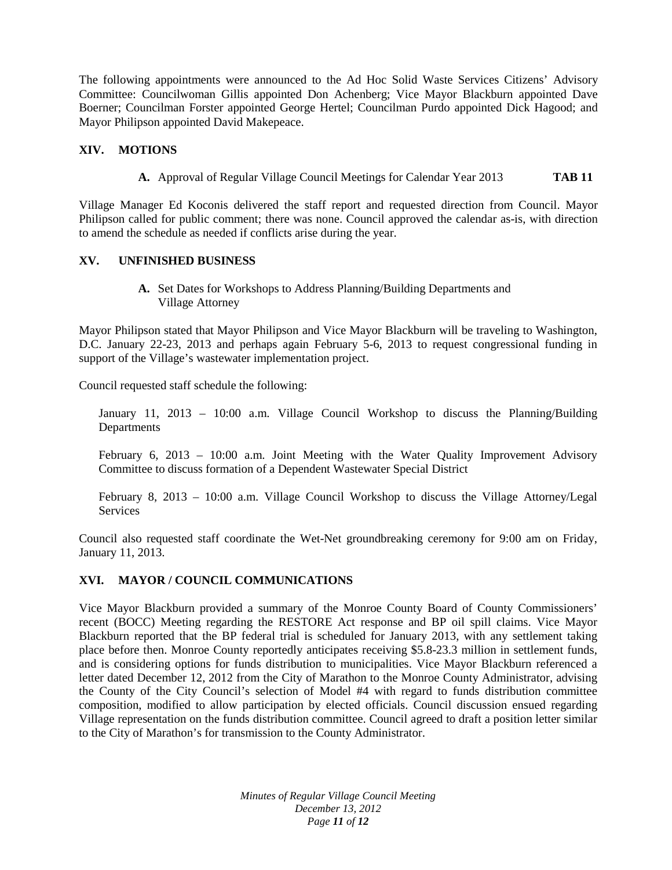The following appointments were announced to the Ad Hoc Solid Waste Services Citizens' Advisory Committee: Councilwoman Gillis appointed Don Achenberg; Vice Mayor Blackburn appointed Dave Boerner; Councilman Forster appointed George Hertel; Councilman Purdo appointed Dick Hagood; and Mayor Philipson appointed David Makepeace.

### **XIV. MOTIONS**

**A.** Approval of Regular Village Council Meetings for Calendar Year 2013 **TAB 11**

Village Manager Ed Koconis delivered the staff report and requested direction from Council. Mayor Philipson called for public comment; there was none. Council approved the calendar as-is, with direction to amend the schedule as needed if conflicts arise during the year.

#### **XV. UNFINISHED BUSINESS**

**A.** Set Dates for Workshops to Address Planning/Building Departments and Village Attorney

Mayor Philipson stated that Mayor Philipson and Vice Mayor Blackburn will be traveling to Washington, D.C. January 22-23, 2013 and perhaps again February 5-6, 2013 to request congressional funding in support of the Village's wastewater implementation project.

Council requested staff schedule the following:

January 11, 2013 – 10:00 a.m. Village Council Workshop to discuss the Planning/Building **Departments** 

February 6, 2013 – 10:00 a.m. Joint Meeting with the Water Quality Improvement Advisory Committee to discuss formation of a Dependent Wastewater Special District

February 8, 2013 – 10:00 a.m. Village Council Workshop to discuss the Village Attorney/Legal **Services** 

Council also requested staff coordinate the Wet-Net groundbreaking ceremony for 9:00 am on Friday, January 11, 2013.

### **XVI. MAYOR / COUNCIL COMMUNICATIONS**

Vice Mayor Blackburn provided a summary of the Monroe County Board of County Commissioners' recent (BOCC) Meeting regarding the RESTORE Act response and BP oil spill claims. Vice Mayor Blackburn reported that the BP federal trial is scheduled for January 2013, with any settlement taking place before then. Monroe County reportedly anticipates receiving \$5.8-23.3 million in settlement funds, and is considering options for funds distribution to municipalities. Vice Mayor Blackburn referenced a letter dated December 12, 2012 from the City of Marathon to the Monroe County Administrator, advising the County of the City Council's selection of Model #4 with regard to funds distribution committee composition, modified to allow participation by elected officials. Council discussion ensued regarding Village representation on the funds distribution committee. Council agreed to draft a position letter similar to the City of Marathon's for transmission to the County Administrator.

> *Minutes of Regular Village Council Meeting December 13, 2012 Page 11 of 12*